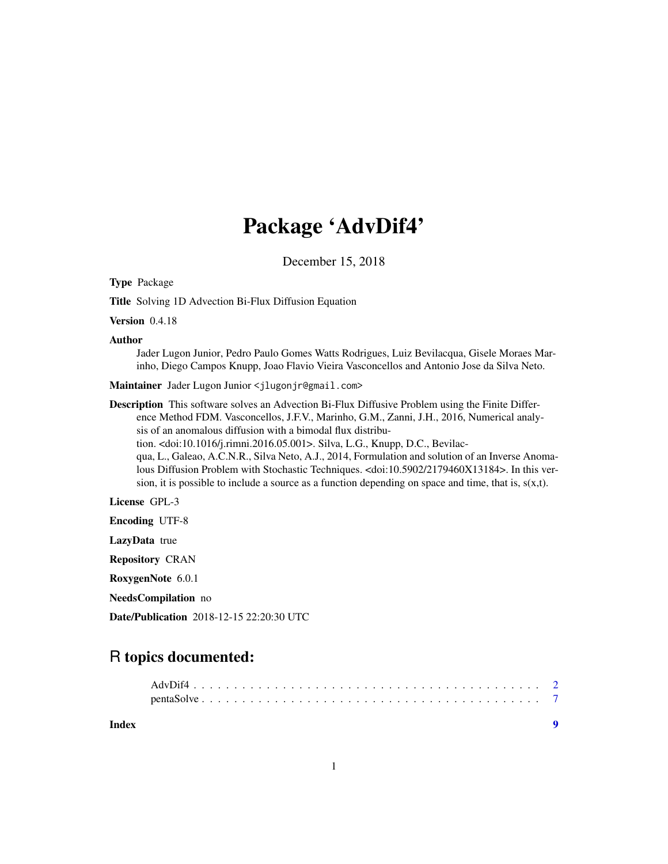# Package 'AdvDif4'

December 15, 2018

Type Package

Title Solving 1D Advection Bi-Flux Diffusion Equation

Version 0.4.18

Author

Jader Lugon Junior, Pedro Paulo Gomes Watts Rodrigues, Luiz Bevilacqua, Gisele Moraes Marinho, Diego Campos Knupp, Joao Flavio Vieira Vasconcellos and Antonio Jose da Silva Neto.

Maintainer Jader Lugon Junior <jlugonjr@gmail.com>

Description This software solves an Advection Bi-Flux Diffusive Problem using the Finite Difference Method FDM. Vasconcellos, J.F.V., Marinho, G.M., Zanni, J.H., 2016, Numerical analysis of an anomalous diffusion with a bimodal flux distribution. <doi:10.1016/j.rimni.2016.05.001>. Silva, L.G., Knupp, D.C., Bevilacqua, L., Galeao, A.C.N.R., Silva Neto, A.J., 2014, Formulation and solution of an Inverse Anomalous Diffusion Problem with Stochastic Techniques. <doi:10.5902/2179460X13184>. In this version, it is possible to include a source as a function depending on space and time, that is,  $s(x,t)$ .

License GPL-3

Encoding UTF-8

LazyData true

Repository CRAN

RoxygenNote 6.0.1

NeedsCompilation no

Date/Publication 2018-12-15 22:20:30 UTC

## R topics documented:

| Index |  |
|-------|--|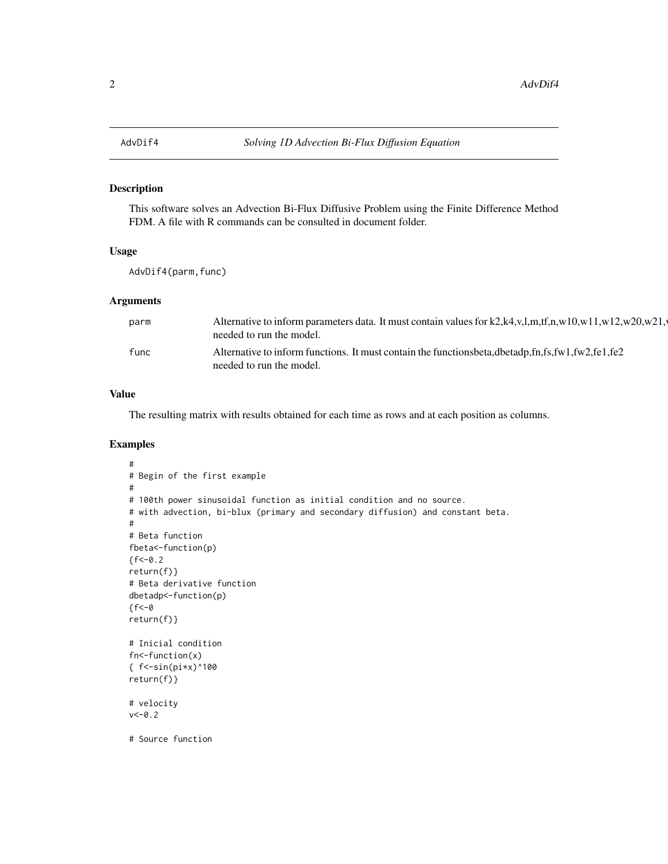#### <span id="page-1-0"></span>Description

This software solves an Advection Bi-Flux Diffusive Problem using the Finite Difference Method FDM. A file with R commands can be consulted in document folder.

#### Usage

AdvDif4(parm,func)

#### Arguments

| parm | Alternative to inform parameters data. It must contain values for k2,k4,v,l,m,tf,n,w10,w11,w12,w20,w21,<br>needed to run the model.      |
|------|------------------------------------------------------------------------------------------------------------------------------------------|
| func | Alternative to inform functions. It must contain the functions beta, dbetadp, fn, fs, fw 1, fw 2, fe 1, fe 2<br>needed to run the model. |

#### Value

The resulting matrix with results obtained for each time as rows and at each position as columns.

#### Examples

```
#
# Begin of the first example
#
# 100th power sinusoidal function as initial condition and no source.
# with advection, bi-blux (primary and secondary diffusion) and constant beta.
#
# Beta function
fbeta<-function(p)
{f<-0.2}return(f)}
# Beta derivative function
dbetadp<-function(p)
\{f < -0return(f)}
# Inicial condition
fn<-function(x)
{ f \le -sin(pix)^{100}return(f)}
# velocity
v < -0.2# Source function
```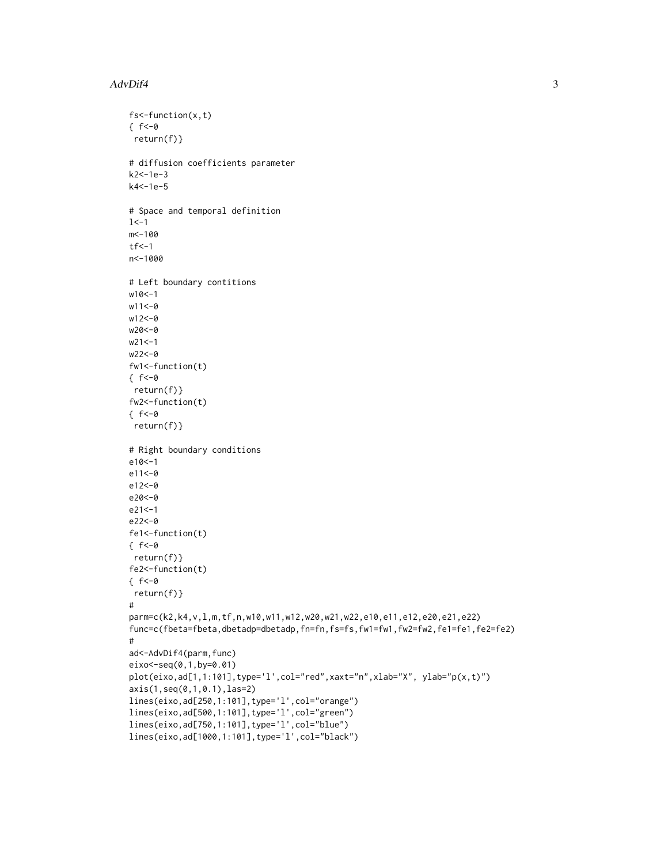#### AdvDif4 3

```
fs<-function(x,t)
\{ f < -\emptysetreturn(f)}
# diffusion coefficients parameter
k2<-1e-3
k4<-1e-5
# Space and temporal definition
1 < -1m<-100
tf < -1n<-1000
# Left boundary contitions
w10<-1
w11 < -0w12<-0
w20<-0
w21 < -1w22<-0
fw1<-function(t)
\{ f < -\emptysetreturn(f)}
fw2<-function(t)
{ f<-0
return(f)}
# Right boundary conditions
e10<-1
e11<-0
e12<-0
e20<-0
e21<-1
e22<-0
fe1<-function(t)
\{ f < -0return(f)}
fe2<-function(t)
\{ f < -0return(f)}
#
parm=c(k2,k4,v,l,m,tf,n,w10,w11,w12,w20,w21,w22,e10,e11,e12,e20,e21,e22)
func=c(fbeta=fbeta,dbetadp=dbetadp,fn=fn,fs=fs,fw1=fw1,fw2=fw2,fe1=fe1,fe2=fe2)
#
ad<-AdvDif4(parm,func)
eixo<-seq(0,1,by=0.01)
plot(eixo,ad[1,1:101],type='l',col="red",xaxt="n",xlab="X", ylab="p(x,t)")
axis(1,seq(0,1,0.1),las=2)
lines(eixo,ad[250,1:101],type='l',col="orange")
lines(eixo,ad[500,1:101],type='l',col="green")
lines(eixo,ad[750,1:101],type='l',col="blue")
lines(eixo,ad[1000,1:101],type='l',col="black")
```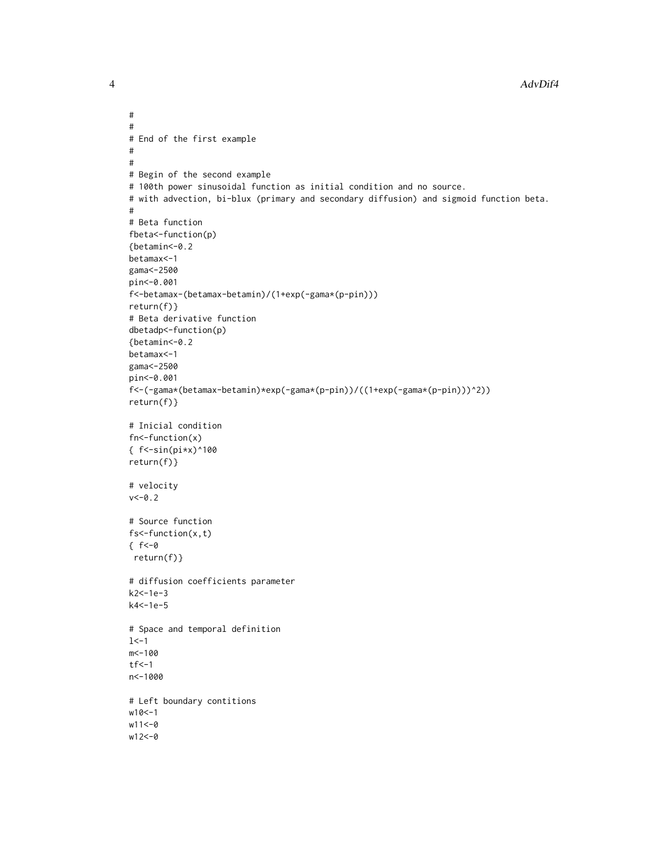4 AdvDif4

```
#
#
# End of the first example
#
#
# Begin of the second example
# 100th power sinusoidal function as initial condition and no source.
# with advection, bi-blux (primary and secondary diffusion) and sigmoid function beta.
#
# Beta function
fbeta<-function(p)
{betamin<-0.2
betamax<-1
gama<-2500
pin<-0.001
f<-betamax-(betamax-betamin)/(1+exp(-gama*(p-pin)))
return(f)}
# Beta derivative function
dbetadp<-function(p)
{betamin<-0.2
betamax<-1
gama<-2500
pin<-0.001
f<-(-gama*(betamax-betamin)*exp(-gama*(p-pin))/((1+exp(-gama*(p-pin)))^2))
return(f)}
# Inicial condition
fn<-function(x)
{ f<-sin(pi*x)^100
return(f)}
# velocity
v < -0.2# Source function
fs<-function(x,t)
f < -0return(f)}
# diffusion coefficients parameter
k2<-1e-3
k4<-1e-5
# Space and temporal definition
1 < -1m<-100
tf < -1n<-1000
# Left boundary contitions
w10<-1
w11 < -0w12<-0
```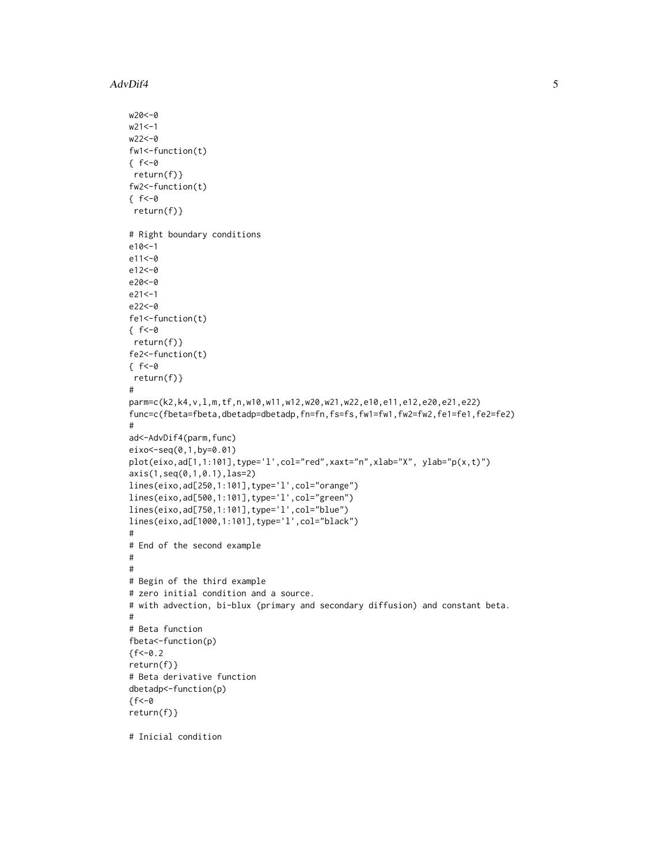AdvDif4 5

```
w20<-0
w21<-1w22<-0
fw1<-function(t)
\{ f < -\emptysetreturn(f)}
fw2<-function(t)
\{ f < -0return(f)}
# Right boundary conditions
e10<-1
e11<-0
e12<-0
e20<-0
e21<-1
e22<-0
fe1<-function(t)
\{ f < -0return(f)}
fe2<-function(t)
f < -0return(f)}
#
parm=c(k2,k4,v,l,m,tf,n,w10,w11,w12,w20,w21,w22,e10,e11,e12,e20,e21,e22)
func=c(fbeta=fbeta,dbetadp=dbetadp,fn=fn,fs=fs,fw1=fw1,fw2=fw2,fe1=fe1,fe2=fe2)
#
ad<-AdvDif4(parm,func)
eixo<-seq(0,1,by=0.01)
plot(eixo,ad[1,1:101],type='l',col="red",xaxt="n",xlab="X", ylab="p(x,t)")
axis(1,seq(0,1,0.1),las=2)
lines(eixo,ad[250,1:101],type='l',col="orange")
lines(eixo,ad[500,1:101],type='l',col="green")
lines(eixo,ad[750,1:101],type='l',col="blue")
lines(eixo,ad[1000,1:101],type='l',col="black")
#
# End of the second example
#
#
# Begin of the third example
# zero initial condition and a source.
# with advection, bi-blux (primary and secondary diffusion) and constant beta.
#
# Beta function
fbeta<-function(p)
{f<-0.2}return(f)}
# Beta derivative function
dbetadp<-function(p)
f < -0return(f)}
```
# Inicial condition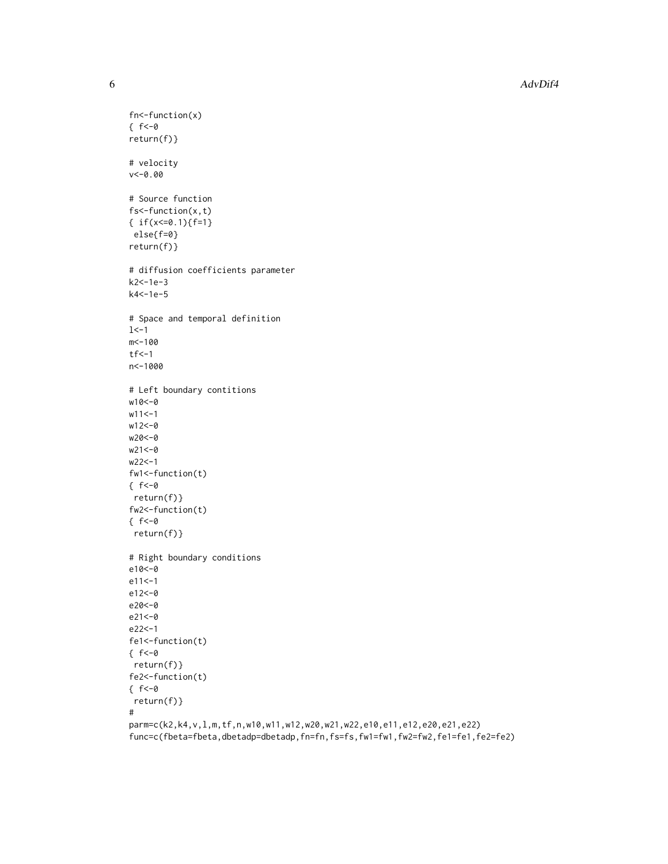6 AdvDif4

```
fn<-function(x)
\{ f < -\emptysetreturn(f)}
# velocity
v<-0.00
# Source function
fs<-function(x,t)
{ if(x<=0.1){f=1}}
else{f=0}
return(f)}
# diffusion coefficients parameter
k2<-1e-3
k4<-1e-5
# Space and temporal definition
1< -1m<-100
tf < -1n<-1000
# Left boundary contitions
w10<-0
w11 < -1w12<-0
w20<-0
w21<-0
w22<-1
fw1<-function(t)
\{ f < -\emptysetreturn(f)}
fw2<-function(t)
\{ f < -0return(f)}
# Right boundary conditions
e10<-0
e11<-1
e12<-0
e20<-0
e21<-0
e22<-1
fe1<-function(t)
\{ f < -\emptysetreturn(f)}
fe2<-function(t)
\{ f < -\emptysetreturn(f)}
#
parm=c(k2,k4,v,l,m,tf,n,w10,w11,w12,w20,w21,w22,e10,e11,e12,e20,e21,e22)
```
func=c(fbeta=fbeta,dbetadp=dbetadp,fn=fn,fs=fs,fw1=fw1,fw2=fw2,fe1=fe1,fe2=fe2)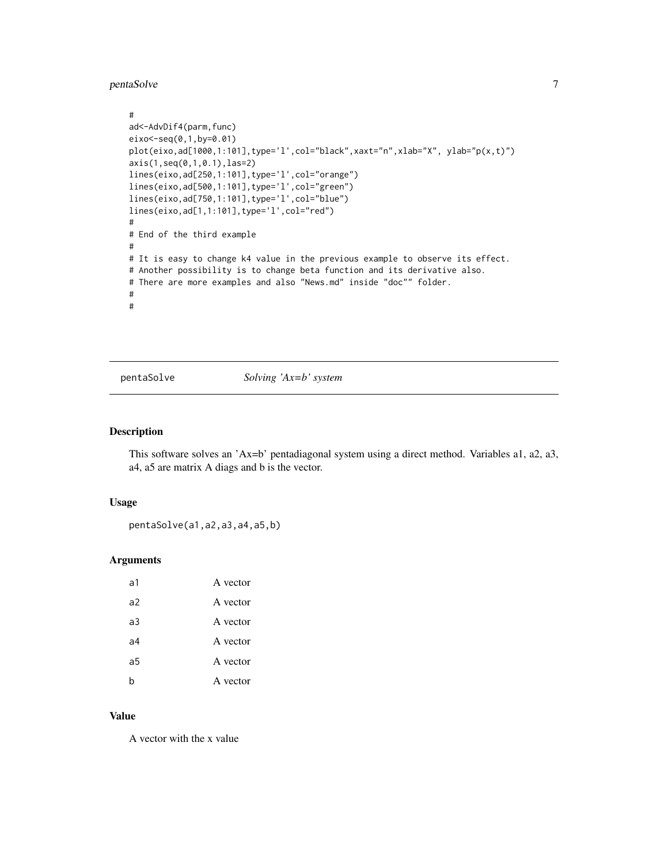#### <span id="page-6-0"></span>pentaSolve 7

```
#
ad<-AdvDif4(parm,func)
eixo<-seq(0,1,by=0.01)
plot(eixo,ad[1000,1:101],type='l',col="black",xaxt="n",xlab="X", ylab="p(x,t)")
axis(1,seq(0,1,0.1),las=2)
lines(eixo,ad[250,1:101],type='l',col="orange")
lines(eixo,ad[500,1:101],type='l',col="green")
lines(eixo,ad[750,1:101],type='l',col="blue")
lines(eixo,ad[1,1:101],type='l',col="red")
#
# End of the third example
#
# It is easy to change k4 value in the previous example to observe its effect.
# Another possibility is to change beta function and its derivative also.
# There are more examples and also "News.md" inside "doc"" folder.
#
#
```
pentaSolve *Solving 'Ax=b' system*

#### Description

This software solves an 'Ax=b' pentadiagonal system using a direct method. Variables a1, a2, a3, a4, a5 are matrix A diags and b is the vector.

#### Usage

pentaSolve(a1,a2,a3,a4,a5,b)

#### Arguments

| ล1 | A vector |
|----|----------|
| a2 | A vector |
| a3 | A vector |
| a4 | A vector |
| a5 | A vector |
| h  | A vector |

#### Value

A vector with the x value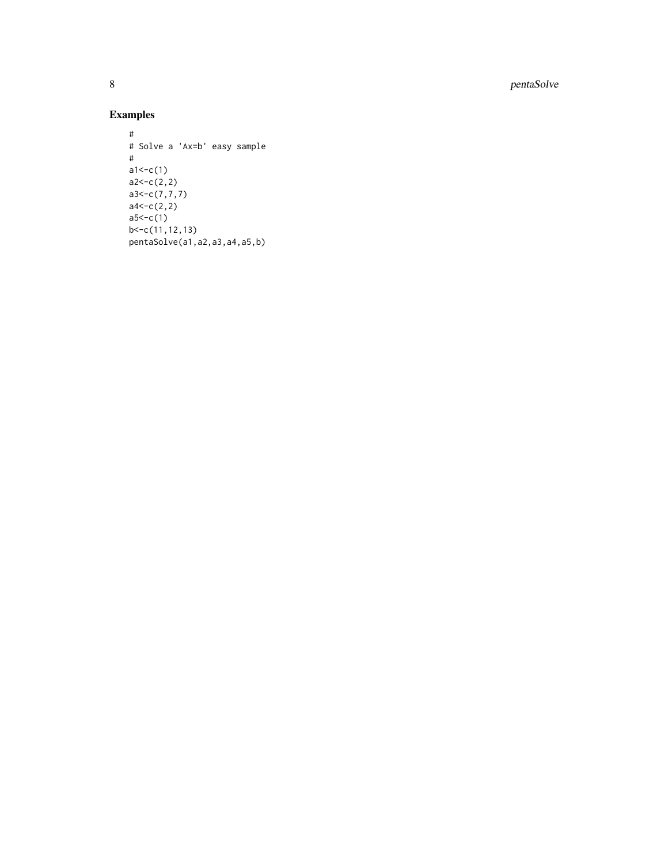8 pentaSolve

### Examples

```
#
# Solve a 'Ax=b' easy sample #
a1 < -c(1)a2 < -c(2,2)a3<-c(7,7,7)
a4 < -c(2,2)a5 < -c(1)b < -c(11, 12, 13)pentaSolve(a1,a2,a3,a4,a5,b)
```